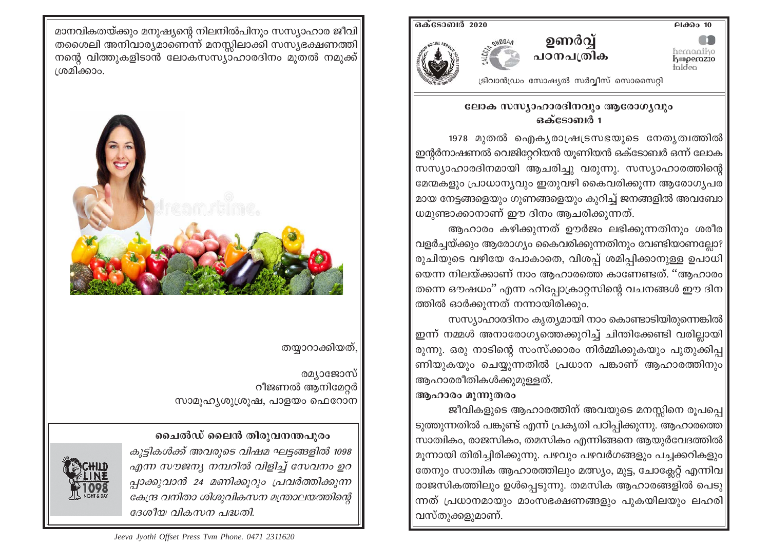<u>ലക്കം</u> 10

hernaniko<br>**koperazio**<br>taldea

ഒക്ടോബർ 2020



ട്രിവാൻഡ്രം സോഷ്യൽ സർവ്വീസ് സൊസൈറ്റി

ഉണർവ്

പഠനപത്രിക

### ലോക സസ്യാഹാരദിനവും ആരോഗ്യവും ഒക്ടോബർ 1

1978 മുതൽ ഐകൃരാഷ്ര്യ്രയുടെ നേതൃത്വത്തിൽ  $\vert$ ഇന്റർനാഷണൽ വെജിറ്റേറിയൻ യുണിയൻ ഒക്ടോബർ ഒന്ന് ലോക $\vert$ സസ്യാഹാരദിനമായി ആചരിച്ചു വരുന്നു. സസ്യാഹാരത്തിന്റെ മേന്മകളും പ്രാധാന്യവും ഇതുവഴി കൈവരിക്കുന്ന ആരോഗ്യപര $\parallel$ മായ നേട്ടങ്ങളെയും ഗുണങ്ങളെയും കുറിച്ച് ജനങ്ങളിൽ അവബോ $||$ ധമുണ്ടാക്കാനാണ് ഈ ദിനം ആചരിക്കുന്നത്.

ആഹാരം കഴിക്കുന്നത് ഊർജം ലഭിക്കുന്നതിനും ശരീര $\parallel$ വളർച്ചയ്ക്കും ആരോഗ്യം കൈവരിക്കുന്നതിനും വേണ്ടിയാണല്ലോ? $\parallel$ രുചിയുടെ വഴിയേ പോകാതെ, വിശപ്പ് ശമിപ്പിക്കാനുള്ള ഉപാധി $\parallel$ യെന്ന നിലയ്ക്കാണ് നാം ആഹാരത്തെ കാണേണ്ടത്. ''ആഹാരം $\parallel$ തന്നെ ഔഷധം'' എന്ന ഹിപ്പോക്രാറ്റസിന്റെ വചനങ്ങൾ ഈ ദിന $\parallel$ ത്തിൽ ഓർക്കുന്നത് നന്നായിരിക്കും.

സസ്യാഹാരദിനം കൃത്യമായി നാം കൊണ്ടാടിയിരുന്നെങ്കിൽ $\parallel$ ഇന്ന് നമ്മൾ അനാരോഗ്യത്തെക്കുറിച്ച് ചിന്തിക്കേണ്ടി വരില്ലായി $\parallel$ രുന്നു. ഒരു നാടിന്റെ സംസ്ക്കാരം നിർമ്മിക്കുകയും പുതുക്കിപ $\vert$ ണിയുകയും ചെയ്യുന്നതിൽ പ്രധാന പങ്കാണ് ആഹാരത്തിനും $\parallel$ ആഹാരരീതികൾക്കുമുള്ളത്.

# ആഹാരം മൂന്നുതരം

ജീവികളുടെ ആഹാരത്തിന് അവയുടെ മനസ്സിനെ രൂപപ്പെ|| ടുത്തുന്നതിൽ പങ്കുണ്ട് എന്ന് പ്രകൃതി പഠിപ്പിക്കുന്നു. ആഹാരത്തെ $|$ സാത്വികം, രാജസികം, തമസികം എന്നിങ്ങനെ ആയുർവേദത്തിൽ $\parallel$  $|$ മുന്നായി തിരിച്ചിരിക്കുന്നു. പഴവും പഴവർഗങ്ങളും പച്ചക്കറികളും $\|$ തേനും സാത്വിക ആഹാരത്തിലും മത്സ്യം, മുട്ട, ചോക്ലേറ്റ് എന്നിവ $\parallel$ രാജസികത്തിലും ഉൾപ്പെടുന്നു. തമസിക ആഹാരങ്ങളിൽ പെടു $|$ ന്നത് പ്രധാനമായും മാംസഭക്ഷണങ്ങളും പുകയിലയും ലഹരി വസ്തുക്കളുമാണ്.

മാനവികതയ്ക്കും മനുഷ്യന്റെ നിലനിൽപിനും സസ്യാഹാര ജീവി തശൈലി അനിവാര്യമാണെന്ന് മനസ്സിലാക്കി സസ്യഭക്ഷണത്തി നന്റെ വിത്തുകളിടാൻ ലോകസസ്യാഹാരദിനം മുതൽ നമുക്ക് ശ്രമിക്കാം.



# തയ്യാറാക്കിയത്,

രമ്യാജോസ് റീജണൽ ആനിമേറ്റർ സാമുഹൃശുശ്രൂഷ, പാളയം ഫെറോന

# ചൈൽഡ് ലൈൻ തിരുവനന്തപുരം

കുട്ടികൾക്ക് അവരുടെ വിഷമ ഘട്ടങ്ങളിൽ 1098 എന്ന സൗജന്യ നമ്പറിൽ വിളിച്ച് സേവനം ഉറ പ്പാക്കുവാൻ 24 മണിക്കുറും പ്രവർത്തിക്കുന്ന കേന്ദ്ര വനിതാ ശിശുവികസന മന്ത്രാലയത്തിന്റെ ദേശീയ വികസന പദ്ധതി.